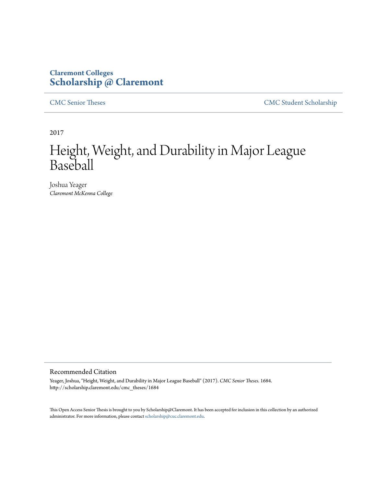## **Claremont Colleges [Scholarship @ Claremont](http://scholarship.claremont.edu)**

[CMC Senior Theses](http://scholarship.claremont.edu/cmc_theses) [CMC Student Scholarship](http://scholarship.claremont.edu/cmc_student)

2017

# Height, Weight, and Durability in Major League Baseball

Joshua Yeager *Claremont McKenna College*

#### Recommended Citation

Yeager, Joshua, "Height, Weight, and Durability in Major League Baseball" (2017). *CMC Senior Theses*. 1684. http://scholarship.claremont.edu/cmc\_theses/1684

This Open Access Senior Thesis is brought to you by Scholarship@Claremont. It has been accepted for inclusion in this collection by an authorized administrator. For more information, please contact [scholarship@cuc.claremont.edu.](mailto:scholarship@cuc.claremont.edu)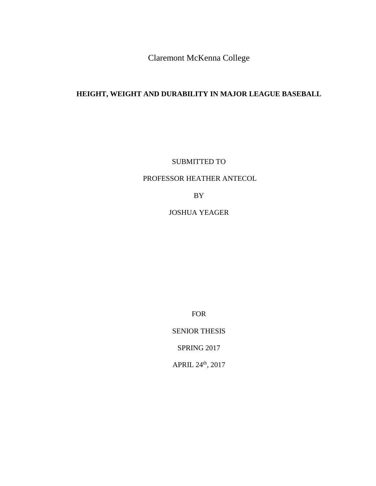Claremont McKenna College

## **HEIGHT, WEIGHT AND DURABILITY IN MAJOR LEAGUE BASEBALL**

SUBMITTED TO

### PROFESSOR HEATHER ANTECOL

BY

JOSHUA YEAGER

FOR

SENIOR THESIS

SPRING 2017

APRIL 24th, 2017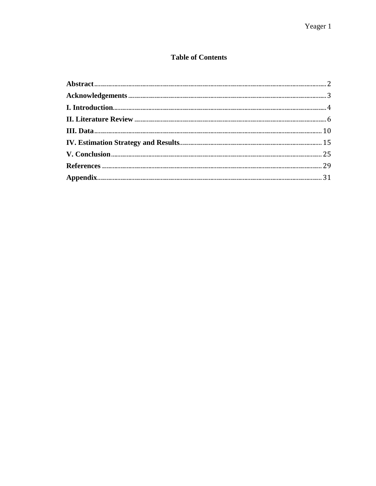## **Table of Contents**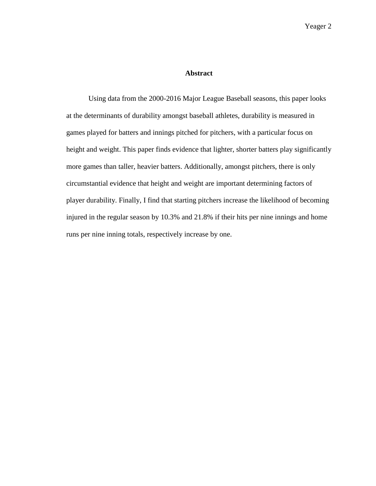#### **Abstract**

<span id="page-4-0"></span>Using data from the 2000-2016 Major League Baseball seasons, this paper looks at the determinants of durability amongst baseball athletes, durability is measured in games played for batters and innings pitched for pitchers, with a particular focus on height and weight. This paper finds evidence that lighter, shorter batters play significantly more games than taller, heavier batters. Additionally, amongst pitchers, there is only circumstantial evidence that height and weight are important determining factors of player durability. Finally, I find that starting pitchers increase the likelihood of becoming injured in the regular season by 10.3% and 21.8% if their hits per nine innings and home runs per nine inning totals, respectively increase by one.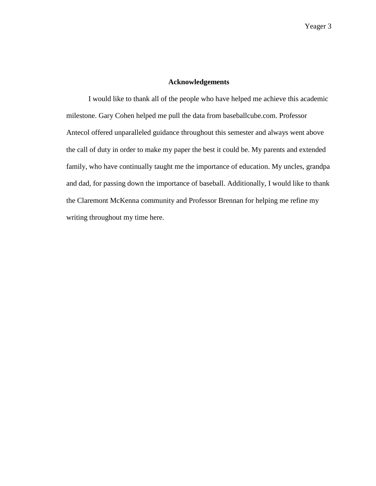#### **Acknowledgements**

<span id="page-5-0"></span>I would like to thank all of the people who have helped me achieve this academic milestone. Gary Cohen helped me pull the data from baseballcube.com. Professor Antecol offered unparalleled guidance throughout this semester and always went above the call of duty in order to make my paper the best it could be. My parents and extended family, who have continually taught me the importance of education. My uncles, grandpa and dad, for passing down the importance of baseball. Additionally, I would like to thank the Claremont McKenna community and Professor Brennan for helping me refine my writing throughout my time here.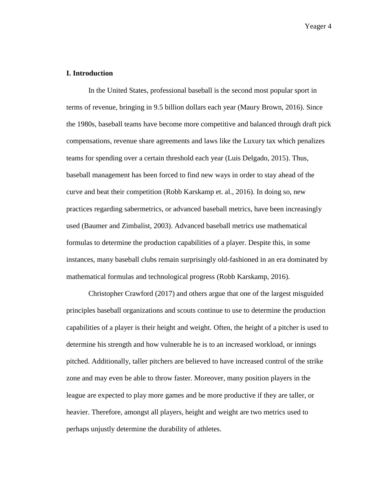#### <span id="page-6-0"></span>**I. Introduction**

In the United States, professional baseball is the second most popular sport in terms of revenue, bringing in 9.5 billion dollars each year (Maury Brown, 2016). Since the 1980s, baseball teams have become more competitive and balanced through draft pick compensations, revenue share agreements and laws like the Luxury tax which penalizes teams for spending over a certain threshold each year (Luis Delgado, 2015). Thus, baseball management has been forced to find new ways in order to stay ahead of the curve and beat their competition (Robb Karskamp et. al., 2016). In doing so, new practices regarding sabermetrics, or advanced baseball metrics, have been increasingly used (Baumer and Zimbalist, 2003). Advanced baseball metrics use mathematical formulas to determine the production capabilities of a player. Despite this, in some instances, many baseball clubs remain surprisingly old-fashioned in an era dominated by mathematical formulas and technological progress (Robb Karskamp, 2016).

Christopher Crawford (2017) and others argue that one of the largest misguided principles baseball organizations and scouts continue to use to determine the production capabilities of a player is their height and weight. Often, the height of a pitcher is used to determine his strength and how vulnerable he is to an increased workload, or innings pitched. Additionally, taller pitchers are believed to have increased control of the strike zone and may even be able to throw faster. Moreover, many position players in the league are expected to play more games and be more productive if they are taller, or heavier. Therefore, amongst all players, height and weight are two metrics used to perhaps unjustly determine the durability of athletes.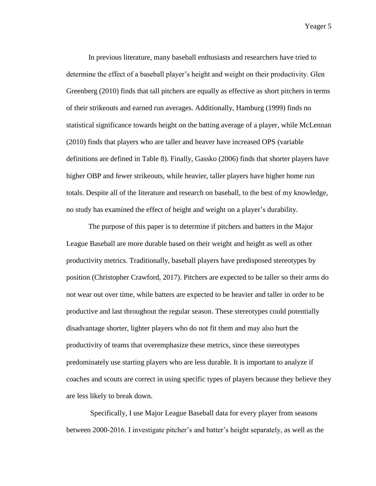In previous literature, many baseball enthusiasts and researchers have tried to determine the effect of a baseball player's height and weight on their productivity. Glen Greenberg (2010) finds that tall pitchers are equally as effective as short pitchers in terms of their strikeouts and earned run averages. Additionally, Hamburg (1999) finds no statistical significance towards height on the batting average of a player, while McLennan (2010) finds that players who are taller and heaver have increased OPS (variable definitions are defined in Table 8). Finally, Gassko (2006) finds that shorter players have higher OBP and fewer strikeouts, while heavier, taller players have higher home run totals. Despite all of the literature and research on baseball, to the best of my knowledge, no study has examined the effect of height and weight on a player's durability.

The purpose of this paper is to determine if pitchers and batters in the Major League Baseball are more durable based on their weight and height as well as other productivity metrics. Traditionally, baseball players have predisposed stereotypes by position (Christopher Crawford, 2017). Pitchers are expected to be taller so their arms do not wear out over time, while batters are expected to be heavier and taller in order to be productive and last throughout the regular season. These stereotypes could potentially disadvantage shorter, lighter players who do not fit them and may also hurt the productivity of teams that overemphasize these metrics, since these stereotypes predominately use starting players who are less durable. It is important to analyze if coaches and scouts are correct in using specific types of players because they believe they are less likely to break down.

Specifically, I use Major League Baseball data for every player from seasons between 2000-2016. I investigate pitcher's and batter's height separately, as well as the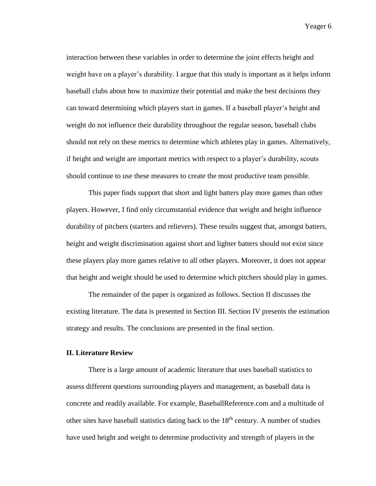interaction between these variables in order to determine the joint effects height and weight have on a player's durability. I argue that this study is important as it helps inform baseball clubs about how to maximize their potential and make the best decisions they can toward determining which players start in games. If a baseball player's height and weight do not influence their durability throughout the regular season, baseball clubs should not rely on these metrics to determine which athletes play in games. Alternatively, if height and weight are important metrics with respect to a player's durability, scouts should continue to use these measures to create the most productive team possible.

This paper finds support that short and light batters play more games than other players. However, I find only circumstantial evidence that weight and height influence durability of pitchers (starters and relievers). These results suggest that, amongst batters, height and weight discrimination against short and lighter batters should not exist since these players play more games relative to all other players. Moreover, it does not appear that height and weight should be used to determine which pitchers should play in games.

The remainder of the paper is organized as follows. Section II discusses the existing literature. The data is presented in Section III. Section IV presents the estimation strategy and results. The conclusions are presented in the final section.

#### <span id="page-8-0"></span>**II. Literature Review**

There is a large amount of academic literature that uses baseball statistics to assess different questions surrounding players and management, as baseball data is concrete and readily available. For example, BaseballReference.com and a multitude of other sites have baseball statistics dating back to the  $18<sup>th</sup>$  century. A number of studies have used height and weight to determine productivity and strength of players in the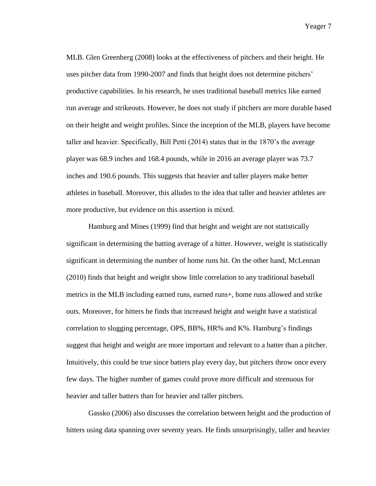MLB. Glen Greenberg (2008) looks at the effectiveness of pitchers and their height. He uses pitcher data from 1990-2007 and finds that height does not determine pitchers' productive capabilities. In his research, he uses traditional baseball metrics like earned run average and strikeouts. However, he does not study if pitchers are more durable based on their height and weight profiles. Since the inception of the MLB, players have become taller and heavier. Specifically, Bill Petti (2014) states that in the 1870's the average player was 68.9 inches and 168.4 pounds, while in 2016 an average player was 73.7 inches and 190.6 pounds. This suggests that heavier and taller players make better athletes in baseball. Moreover, this alludes to the idea that taller and heavier athletes are more productive, but evidence on this assertion is mixed.

Hamburg and Mines (1999) find that height and weight are not statistically significant in determining the batting average of a hitter. However, weight is statistically significant in determining the number of home runs hit. On the other hand, McLennan (2010) finds that height and weight show little correlation to any traditional baseball metrics in the MLB including earned runs, earned runs+, home runs allowed and strike outs. Moreover, for hitters he finds that increased height and weight have a statistical correlation to slugging percentage, OPS, BB%, HR% and K%. Hamburg's findings suggest that height and weight are more important and relevant to a batter than a pitcher. Intuitively, this could be true since batters play every day, but pitchers throw once every few days. The higher number of games could prove more difficult and strenuous for heavier and taller batters than for heavier and taller pitchers.

Gassko (2006) also discusses the correlation between height and the production of hitters using data spanning over seventy years. He finds unsurprisingly, taller and heavier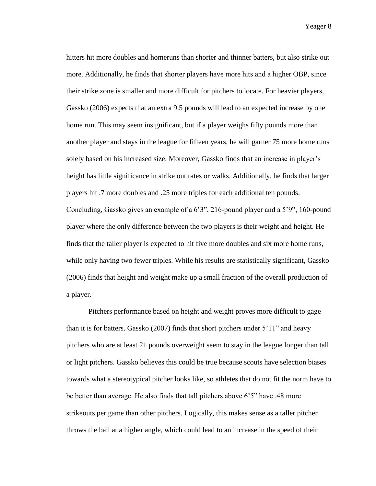hitters hit more doubles and homeruns than shorter and thinner batters, but also strike out more. Additionally, he finds that shorter players have more hits and a higher OBP, since their strike zone is smaller and more difficult for pitchers to locate. For heavier players, Gassko (2006) expects that an extra 9.5 pounds will lead to an expected increase by one home run. This may seem insignificant, but if a player weighs fifty pounds more than another player and stays in the league for fifteen years, he will garner 75 more home runs solely based on his increased size. Moreover, Gassko finds that an increase in player's height has little significance in strike out rates or walks. Additionally, he finds that larger players hit .7 more doubles and .25 more triples for each additional ten pounds. Concluding, Gassko gives an example of a 6'3", 216-pound player and a 5'9", 160-pound player where the only difference between the two players is their weight and height. He finds that the taller player is expected to hit five more doubles and six more home runs, while only having two fewer triples. While his results are statistically significant, Gassko (2006) finds that height and weight make up a small fraction of the overall production of a player.

Pitchers performance based on height and weight proves more difficult to gage than it is for batters. Gassko (2007) finds that short pitchers under 5'11" and heavy pitchers who are at least 21 pounds overweight seem to stay in the league longer than tall or light pitchers. Gassko believes this could be true because scouts have selection biases towards what a stereotypical pitcher looks like, so athletes that do not fit the norm have to be better than average. He also finds that tall pitchers above 6'5" have .48 more strikeouts per game than other pitchers. Logically, this makes sense as a taller pitcher throws the ball at a higher angle, which could lead to an increase in the speed of their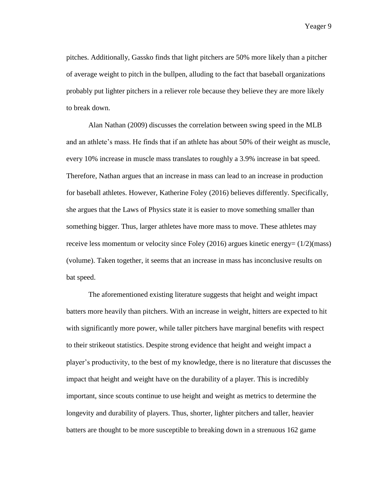pitches. Additionally, Gassko finds that light pitchers are 50% more likely than a pitcher of average weight to pitch in the bullpen, alluding to the fact that baseball organizations probably put lighter pitchers in a reliever role because they believe they are more likely to break down.

Alan Nathan (2009) discusses the correlation between swing speed in the MLB and an athlete's mass. He finds that if an athlete has about 50% of their weight as muscle, every 10% increase in muscle mass translates to roughly a 3.9% increase in bat speed. Therefore, Nathan argues that an increase in mass can lead to an increase in production for baseball athletes. However, Katherine Foley (2016) believes differently. Specifically, she argues that the Laws of Physics state it is easier to move something smaller than something bigger. Thus, larger athletes have more mass to move. These athletes may receive less momentum or velocity since Foley (2016) argues kinetic energy= (1/2)(mass) (volume). Taken together, it seems that an increase in mass has inconclusive results on bat speed.

The aforementioned existing literature suggests that height and weight impact batters more heavily than pitchers. With an increase in weight, hitters are expected to hit with significantly more power, while taller pitchers have marginal benefits with respect to their strikeout statistics. Despite strong evidence that height and weight impact a player's productivity, to the best of my knowledge, there is no literature that discusses the impact that height and weight have on the durability of a player. This is incredibly important, since scouts continue to use height and weight as metrics to determine the longevity and durability of players. Thus, shorter, lighter pitchers and taller, heavier batters are thought to be more susceptible to breaking down in a strenuous 162 game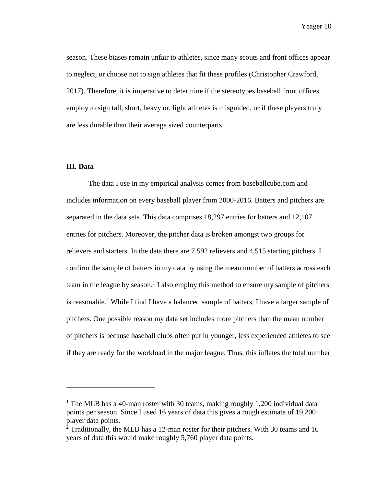season. These biases remain unfair to athletes, since many scouts and front offices appear to neglect, or choose not to sign athletes that fit these profiles (Christopher Crawford, 2017). Therefore, it is imperative to determine if the stereotypes baseball front offices employ to sign tall, short, heavy or, light athletes is misguided, or if these players truly are less durable than their average sized counterparts.

#### <span id="page-12-0"></span>**III. Data**

l

The data I use in my empirical analysis comes from baseballcube.com and includes information on every baseball player from 2000-2016. Batters and pitchers are separated in the data sets. This data comprises 18,297 entries for batters and 12,107 entries for pitchers. Moreover, the pitcher data is broken amongst two groups for relievers and starters. In the data there are 7,592 relievers and 4,515 starting pitchers. I confirm the sample of batters in my data by using the mean number of batters across each team in the league by season. 1 I also employ this method to ensure my sample of pitchers is reasonable.<sup>2</sup> While I find I have a balanced sample of batters, I have a larger sample of pitchers. One possible reason my data set includes more pitchers than the mean number of pitchers is because baseball clubs often put in younger, less experienced athletes to see if they are ready for the workload in the major league. Thus, this inflates the total number

<sup>&</sup>lt;sup>1</sup> The MLB has a 40-man roster with 30 teams, making roughly 1,200 individual data points per season. Since I used 16 years of data this gives a rough estimate of 19,200 player data points.

 $2$  Traditionally, the MLB has a 12-man roster for their pitchers. With 30 teams and 16 years of data this would make roughly 5,760 player data points.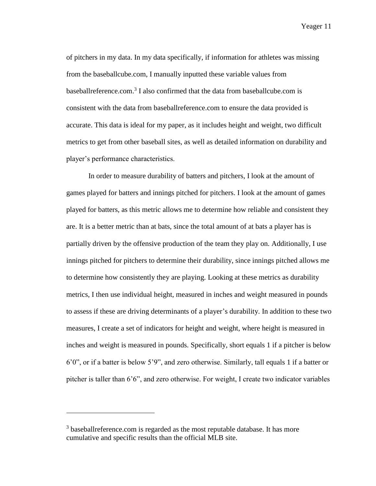of pitchers in my data. In my data specifically, if information for athletes was missing from the baseballcube.com, I manually inputted these variable values from baseballreference.com. 3 I also confirmed that the data from baseballcube.com is consistent with the data from baseballreference.com to ensure the data provided is accurate. This data is ideal for my paper, as it includes height and weight, two difficult metrics to get from other baseball sites, as well as detailed information on durability and player's performance characteristics.

In order to measure durability of batters and pitchers, I look at the amount of games played for batters and innings pitched for pitchers. I look at the amount of games played for batters, as this metric allows me to determine how reliable and consistent they are. It is a better metric than at bats, since the total amount of at bats a player has is partially driven by the offensive production of the team they play on. Additionally, I use innings pitched for pitchers to determine their durability, since innings pitched allows me to determine how consistently they are playing. Looking at these metrics as durability metrics, I then use individual height, measured in inches and weight measured in pounds to assess if these are driving determinants of a player's durability. In addition to these two measures, I create a set of indicators for height and weight, where height is measured in inches and weight is measured in pounds. Specifically, short equals 1 if a pitcher is below 6'0", or if a batter is below 5'9", and zero otherwise. Similarly, tall equals 1 if a batter or pitcher is taller than 6'6", and zero otherwise. For weight, I create two indicator variables

 $\overline{a}$ 

<sup>&</sup>lt;sup>3</sup> baseballreference.com is regarded as the most reputable database. It has more cumulative and specific results than the official MLB site.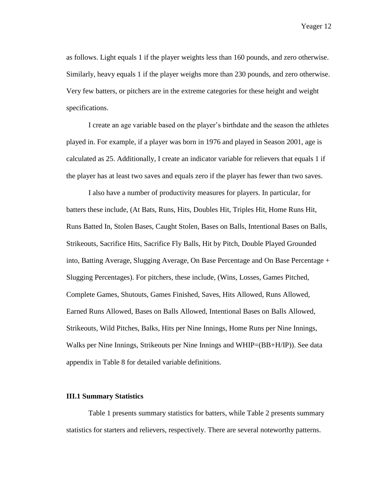as follows. Light equals 1 if the player weights less than 160 pounds, and zero otherwise. Similarly, heavy equals 1 if the player weighs more than 230 pounds, and zero otherwise. Very few batters, or pitchers are in the extreme categories for these height and weight specifications.

I create an age variable based on the player's birthdate and the season the athletes played in. For example, if a player was born in 1976 and played in Season 2001, age is calculated as 25. Additionally, I create an indicator variable for relievers that equals 1 if the player has at least two saves and equals zero if the player has fewer than two saves.

I also have a number of productivity measures for players. In particular, for batters these include, (At Bats, Runs, Hits, Doubles Hit, Triples Hit, Home Runs Hit, Runs Batted In, Stolen Bases, Caught Stolen, Bases on Balls, Intentional Bases on Balls, Strikeouts, Sacrifice Hits, Sacrifice Fly Balls, Hit by Pitch, Double Played Grounded into, Batting Average, Slugging Average, On Base Percentage and On Base Percentage + Slugging Percentages). For pitchers, these include, (Wins, Losses, Games Pitched, Complete Games, Shutouts, Games Finished, Saves, Hits Allowed, Runs Allowed, Earned Runs Allowed, Bases on Balls Allowed, Intentional Bases on Balls Allowed, Strikeouts, Wild Pitches, Balks, Hits per Nine Innings, Home Runs per Nine Innings, Walks per Nine Innings, Strikeouts per Nine Innings and WHIP=(BB+H/IP)). See data appendix in Table 8 for detailed variable definitions.

#### **III.1 Summary Statistics**

Table 1 presents summary statistics for batters, while Table 2 presents summary statistics for starters and relievers, respectively. There are several noteworthy patterns.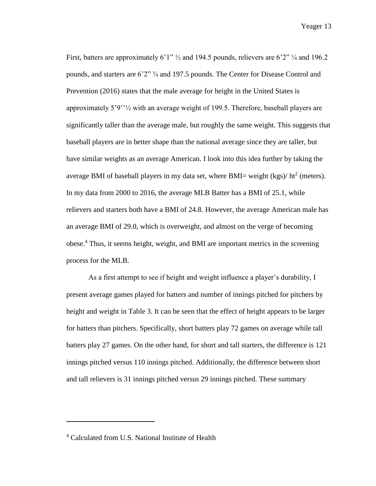First, batters are approximately 6'1"  $\frac{1}{2}$  and 194.5 pounds, relievers are 6'2"  $\frac{1}{4}$  and 196.2 pounds, and starters are 6'2" ¾ and 197.5 pounds. The Center for Disease Control and Prevention (2016) states that the male average for height in the United States is approximately 5'9''½ with an average weight of 199.5. Therefore, baseball players are significantly taller than the average male, but roughly the same weight. This suggests that baseball players are in better shape than the national average since they are taller, but have similar weights as an average American. I look into this idea further by taking the average BMI of baseball players in my data set, where BMI= weight  $(kgs)/$  ht<sup>2</sup> (meters). In my data from 2000 to 2016, the average MLB Batter has a BMI of 25.1, while relievers and starters both have a BMI of 24.8. However, the average American male has an average BMI of 29.0, which is overweight, and almost on the verge of becoming obese. <sup>4</sup> Thus, it seems height, weight, and BMI are important metrics in the screening process for the MLB.

As a first attempt to see if height and weight influence a player's durability, I present average games played for batters and number of innings pitched for pitchers by height and weight in Table 3. It can be seen that the effect of height appears to be larger for batters than pitchers. Specifically, short batters play 72 games on average while tall batters play 27 games. On the other hand, for short and tall starters, the difference is 121 innings pitched versus 110 innings pitched. Additionally, the difference between short and tall relievers is 31 innings pitched versus 29 innings pitched. These summary

 $\overline{a}$ 

<sup>4</sup> Calculated from U.S. National Institute of Health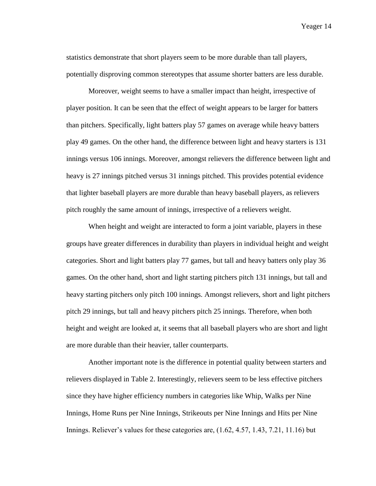statistics demonstrate that short players seem to be more durable than tall players, potentially disproving common stereotypes that assume shorter batters are less durable.

Moreover, weight seems to have a smaller impact than height, irrespective of player position. It can be seen that the effect of weight appears to be larger for batters than pitchers. Specifically, light batters play 57 games on average while heavy batters play 49 games. On the other hand, the difference between light and heavy starters is 131 innings versus 106 innings. Moreover, amongst relievers the difference between light and heavy is 27 innings pitched versus 31 innings pitched. This provides potential evidence that lighter baseball players are more durable than heavy baseball players, as relievers pitch roughly the same amount of innings, irrespective of a relievers weight.

When height and weight are interacted to form a joint variable, players in these groups have greater differences in durability than players in individual height and weight categories. Short and light batters play 77 games, but tall and heavy batters only play 36 games. On the other hand, short and light starting pitchers pitch 131 innings, but tall and heavy starting pitchers only pitch 100 innings. Amongst relievers, short and light pitchers pitch 29 innings, but tall and heavy pitchers pitch 25 innings. Therefore, when both height and weight are looked at, it seems that all baseball players who are short and light are more durable than their heavier, taller counterparts.

Another important note is the difference in potential quality between starters and relievers displayed in Table 2. Interestingly, relievers seem to be less effective pitchers since they have higher efficiency numbers in categories like Whip, Walks per Nine Innings, Home Runs per Nine Innings, Strikeouts per Nine Innings and Hits per Nine Innings. Reliever's values for these categories are, (1.62, 4.57, 1.43, 7.21, 11.16) but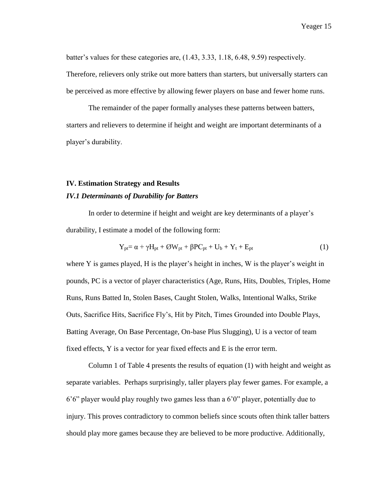batter's values for these categories are, (1.43, 3.33, 1.18, 6.48, 9.59) respectively. Therefore, relievers only strike out more batters than starters, but universally starters can be perceived as more effective by allowing fewer players on base and fewer home runs.

The remainder of the paper formally analyses these patterns between batters, starters and relievers to determine if height and weight are important determinants of a player's durability.

#### <span id="page-17-0"></span>**IV. Estimation Strategy and Results**

#### *IV.1 Determinants of Durability for Batters*

In order to determine if height and weight are key determinants of a player's durability, I estimate a model of the following form:

$$
Y_{pt} = \alpha + \gamma H_{pt} + \mathcal{O}W_{pt} + \beta PC_{pt} + U_b + Y_t + E_{pt}
$$
 (1)

where Y is games played, H is the player's height in inches, W is the player's weight in pounds, PC is a vector of player characteristics (Age, Runs, Hits, Doubles, Triples, Home Runs, Runs Batted In, Stolen Bases, Caught Stolen, Walks, Intentional Walks, Strike Outs, Sacrifice Hits, Sacrifice Fly's, Hit by Pitch, Times Grounded into Double Plays, Batting Average, On Base Percentage, On-base Plus Slugging), U is a vector of team fixed effects, Y is a vector for year fixed effects and E is the error term.

Column 1 of Table 4 presents the results of equation (1) with height and weight as separate variables. Perhaps surprisingly, taller players play fewer games. For example, a 6'6" player would play roughly two games less than a 6'0" player, potentially due to injury. This proves contradictory to common beliefs since scouts often think taller batters should play more games because they are believed to be more productive. Additionally,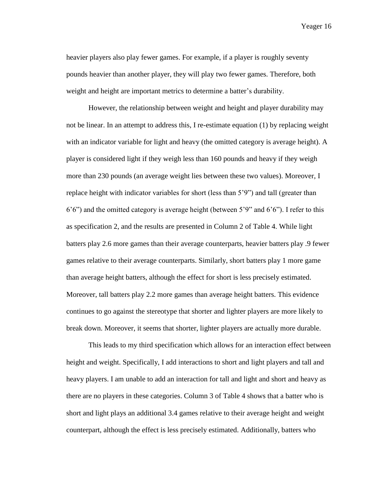heavier players also play fewer games. For example, if a player is roughly seventy pounds heavier than another player, they will play two fewer games. Therefore, both weight and height are important metrics to determine a batter's durability.

However, the relationship between weight and height and player durability may not be linear. In an attempt to address this, I re-estimate equation (1) by replacing weight with an indicator variable for light and heavy (the omitted category is average height). A player is considered light if they weigh less than 160 pounds and heavy if they weigh more than 230 pounds (an average weight lies between these two values). Moreover, I replace height with indicator variables for short (less than 5'9") and tall (greater than 6'6") and the omitted category is average height (between 5'9" and 6'6"). I refer to this as specification 2, and the results are presented in Column 2 of Table 4. While light batters play 2.6 more games than their average counterparts, heavier batters play .9 fewer games relative to their average counterparts. Similarly, short batters play 1 more game than average height batters, although the effect for short is less precisely estimated. Moreover, tall batters play 2.2 more games than average height batters. This evidence continues to go against the stereotype that shorter and lighter players are more likely to break down. Moreover, it seems that shorter, lighter players are actually more durable.

This leads to my third specification which allows for an interaction effect between height and weight. Specifically, I add interactions to short and light players and tall and heavy players. I am unable to add an interaction for tall and light and short and heavy as there are no players in these categories. Column 3 of Table 4 shows that a batter who is short and light plays an additional 3.4 games relative to their average height and weight counterpart, although the effect is less precisely estimated. Additionally, batters who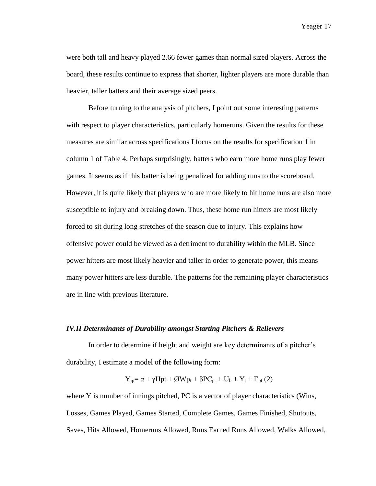were both tall and heavy played 2.66 fewer games than normal sized players. Across the board, these results continue to express that shorter, lighter players are more durable than heavier, taller batters and their average sized peers.

Before turning to the analysis of pitchers, I point out some interesting patterns with respect to player characteristics, particularly homeruns. Given the results for these measures are similar across specifications I focus on the results for specification 1 in column 1 of Table 4. Perhaps surprisingly, batters who earn more home runs play fewer games. It seems as if this batter is being penalized for adding runs to the scoreboard. However, it is quite likely that players who are more likely to hit home runs are also more susceptible to injury and breaking down. Thus, these home run hitters are most likely forced to sit during long stretches of the season due to injury. This explains how offensive power could be viewed as a detriment to durability within the MLB. Since power hitters are most likely heavier and taller in order to generate power, this means many power hitters are less durable. The patterns for the remaining player characteristics are in line with previous literature.

#### *IV.II Determinants of Durability amongst Starting Pitchers & Relievers*

In order to determine if height and weight are key determinants of a pitcher's durability, I estimate a model of the following form:

$$
Y_{ip} = \alpha + \gamma Hpt + \textcirc Wpt} + \beta PC_{pt} + U_b + Y_t + E_{pt} (2)
$$

where Y is number of innings pitched, PC is a vector of player characteristics (Wins, Losses, Games Played, Games Started, Complete Games, Games Finished, Shutouts, Saves, Hits Allowed, Homeruns Allowed, Runs Earned Runs Allowed, Walks Allowed,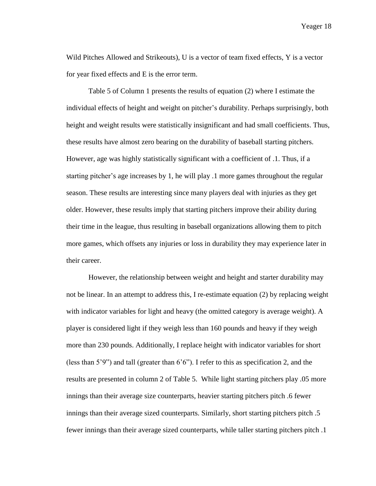Wild Pitches Allowed and Strikeouts), U is a vector of team fixed effects, Y is a vector for year fixed effects and E is the error term.

Table 5 of Column 1 presents the results of equation (2) where I estimate the individual effects of height and weight on pitcher's durability. Perhaps surprisingly, both height and weight results were statistically insignificant and had small coefficients. Thus, these results have almost zero bearing on the durability of baseball starting pitchers. However, age was highly statistically significant with a coefficient of .1. Thus, if a starting pitcher's age increases by 1, he will play .1 more games throughout the regular season. These results are interesting since many players deal with injuries as they get older. However, these results imply that starting pitchers improve their ability during their time in the league, thus resulting in baseball organizations allowing them to pitch more games, which offsets any injuries or loss in durability they may experience later in their career.

However, the relationship between weight and height and starter durability may not be linear. In an attempt to address this, I re-estimate equation (2) by replacing weight with indicator variables for light and heavy (the omitted category is average weight). A player is considered light if they weigh less than 160 pounds and heavy if they weigh more than 230 pounds. Additionally, I replace height with indicator variables for short (less than 5'9") and tall (greater than 6'6"). I refer to this as specification 2, and the results are presented in column 2 of Table 5. While light starting pitchers play .05 more innings than their average size counterparts, heavier starting pitchers pitch .6 fewer innings than their average sized counterparts. Similarly, short starting pitchers pitch .5 fewer innings than their average sized counterparts, while taller starting pitchers pitch .1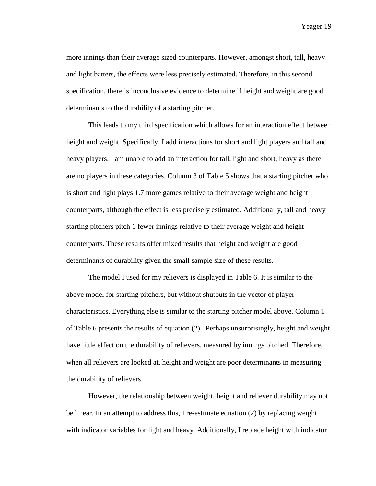more innings than their average sized counterparts. However, amongst short, tall, heavy and light batters, the effects were less precisely estimated. Therefore, in this second specification, there is inconclusive evidence to determine if height and weight are good determinants to the durability of a starting pitcher.

This leads to my third specification which allows for an interaction effect between height and weight. Specifically, I add interactions for short and light players and tall and heavy players. I am unable to add an interaction for tall, light and short, heavy as there are no players in these categories. Column 3 of Table 5 shows that a starting pitcher who is short and light plays 1.7 more games relative to their average weight and height counterparts, although the effect is less precisely estimated. Additionally, tall and heavy starting pitchers pitch 1 fewer innings relative to their average weight and height counterparts. These results offer mixed results that height and weight are good determinants of durability given the small sample size of these results.

The model I used for my relievers is displayed in Table 6. It is similar to the above model for starting pitchers, but without shutouts in the vector of player characteristics. Everything else is similar to the starting pitcher model above. Column 1 of Table 6 presents the results of equation (2). Perhaps unsurprisingly, height and weight have little effect on the durability of relievers, measured by innings pitched. Therefore, when all relievers are looked at, height and weight are poor determinants in measuring the durability of relievers.

However, the relationship between weight, height and reliever durability may not be linear. In an attempt to address this, I re-estimate equation (2) by replacing weight with indicator variables for light and heavy. Additionally, I replace height with indicator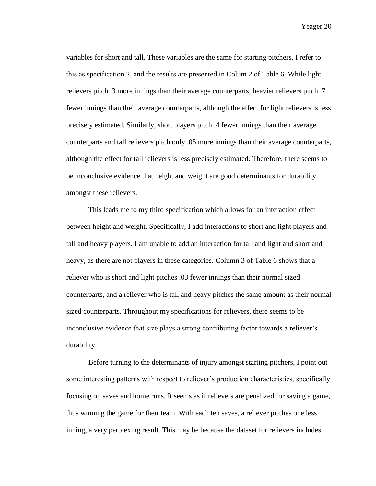variables for short and tall. These variables are the same for starting pitchers. I refer to this as specification 2, and the results are presented in Colum 2 of Table 6. While light relievers pitch .3 more innings than their average counterparts, heavier relievers pitch .7 fewer innings than their average counterparts, although the effect for light relievers is less precisely estimated. Similarly, short players pitch .4 fewer innings than their average counterparts and tall relievers pitch only .05 more innings than their average counterparts, although the effect for tall relievers is less precisely estimated. Therefore, there seems to be inconclusive evidence that height and weight are good determinants for durability amongst these relievers.

This leads me to my third specification which allows for an interaction effect between height and weight. Specifically, I add interactions to short and light players and tall and heavy players. I am unable to add an interaction for tall and light and short and heavy, as there are not players in these categories. Column 3 of Table 6 shows that a reliever who is short and light pitches .03 fewer innings than their normal sized counterparts, and a reliever who is tall and heavy pitches the same amount as their normal sized counterparts. Throughout my specifications for relievers, there seems to be inconclusive evidence that size plays a strong contributing factor towards a reliever's durability.

Before turning to the determinants of injury amongst starting pitchers, I point out some interesting patterns with respect to reliever's production characteristics, specifically focusing on saves and home runs. It seems as if relievers are penalized for saving a game, thus winning the game for their team. With each ten saves, a reliever pitches one less inning, a very perplexing result. This may be because the dataset for relievers includes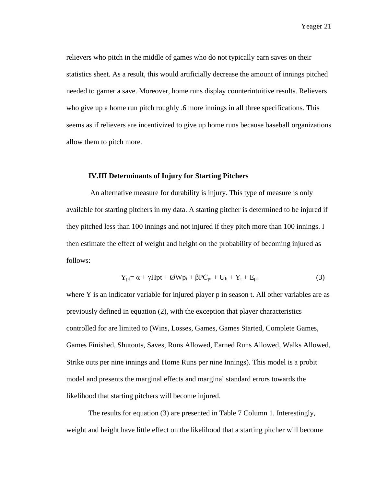relievers who pitch in the middle of games who do not typically earn saves on their statistics sheet. As a result, this would artificially decrease the amount of innings pitched needed to garner a save. Moreover, home runs display counterintuitive results. Relievers who give up a home run pitch roughly .6 more innings in all three specifications. This seems as if relievers are incentivized to give up home runs because baseball organizations allow them to pitch more.

#### **IV.III Determinants of Injury for Starting Pitchers**

An alternative measure for durability is injury. This type of measure is only available for starting pitchers in my data. A starting pitcher is determined to be injured if they pitched less than 100 innings and not injured if they pitch more than 100 innings. I then estimate the effect of weight and height on the probability of becoming injured as follows:

$$
Y_{pt} = \alpha + \gamma Hpt + \mathcal{O}Wp_t + \beta PC_{pt} + U_b + Y_t + E_{pt}
$$
 (3)

where Y is an indicator variable for injured player p in season t. All other variables are as previously defined in equation (2), with the exception that player characteristics controlled for are limited to (Wins, Losses, Games, Games Started, Complete Games, Games Finished, Shutouts, Saves, Runs Allowed, Earned Runs Allowed, Walks Allowed, Strike outs per nine innings and Home Runs per nine Innings). This model is a probit model and presents the marginal effects and marginal standard errors towards the likelihood that starting pitchers will become injured.

The results for equation (3) are presented in Table 7 Column 1. Interestingly, weight and height have little effect on the likelihood that a starting pitcher will become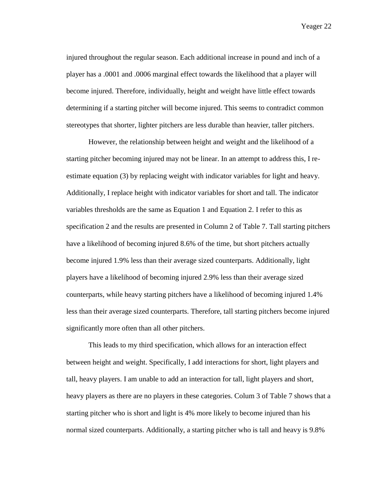injured throughout the regular season. Each additional increase in pound and inch of a player has a .0001 and .0006 marginal effect towards the likelihood that a player will become injured. Therefore, individually, height and weight have little effect towards determining if a starting pitcher will become injured. This seems to contradict common stereotypes that shorter, lighter pitchers are less durable than heavier, taller pitchers.

However, the relationship between height and weight and the likelihood of a starting pitcher becoming injured may not be linear. In an attempt to address this, I reestimate equation (3) by replacing weight with indicator variables for light and heavy. Additionally, I replace height with indicator variables for short and tall. The indicator variables thresholds are the same as Equation 1 and Equation 2. I refer to this as specification 2 and the results are presented in Column 2 of Table 7. Tall starting pitchers have a likelihood of becoming injured 8.6% of the time, but short pitchers actually become injured 1.9% less than their average sized counterparts. Additionally, light players have a likelihood of becoming injured 2.9% less than their average sized counterparts, while heavy starting pitchers have a likelihood of becoming injured 1.4% less than their average sized counterparts. Therefore, tall starting pitchers become injured significantly more often than all other pitchers.

This leads to my third specification, which allows for an interaction effect between height and weight. Specifically, I add interactions for short, light players and tall, heavy players. I am unable to add an interaction for tall, light players and short, heavy players as there are no players in these categories. Colum 3 of Table 7 shows that a starting pitcher who is short and light is 4% more likely to become injured than his normal sized counterparts. Additionally, a starting pitcher who is tall and heavy is 9.8%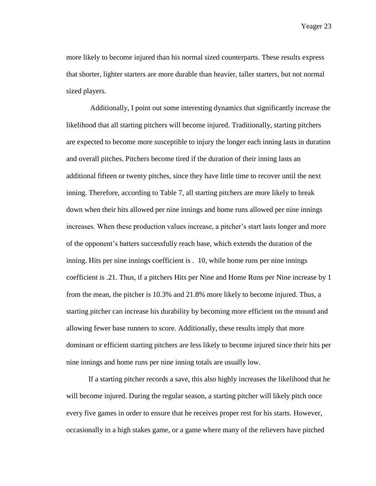more likely to become injured than his normal sized counterparts. These results express that shorter, lighter starters are more durable than heavier, taller starters, but not normal sized players.

Additionally, I point out some interesting dynamics that significantly increase the likelihood that all starting pitchers will become injured. Traditionally, starting pitchers are expected to become more susceptible to injury the longer each inning lasts in duration and overall pitches. Pitchers become tired if the duration of their inning lasts an additional fifteen or twenty pitches, since they have little time to recover until the next inning. Therefore, according to Table 7, all starting pitchers are more likely to break down when their hits allowed per nine innings and home runs allowed per nine innings increases. When these production values increase, a pitcher's start lasts longer and more of the opponent's batters successfully reach base, which extends the duration of the inning. Hits per nine innings coefficient is . 10, while home runs per nine innings coefficient is .21. Thus, if a pitchers Hits per Nine and Home Runs per Nine increase by 1 from the mean, the pitcher is 10.3% and 21.8% more likely to become injured. Thus, a starting pitcher can increase his durability by becoming more efficient on the mound and allowing fewer base runners to score. Additionally, these results imply that more dominant or efficient starting pitchers are less likely to become injured since their hits per nine innings and home runs per nine inning totals are usually low.

If a starting pitcher records a save, this also highly increases the likelihood that he will become injured. During the regular season, a starting pitcher will likely pitch once every five games in order to ensure that he receives proper rest for his starts. However, occasionally in a high stakes game, or a game where many of the relievers have pitched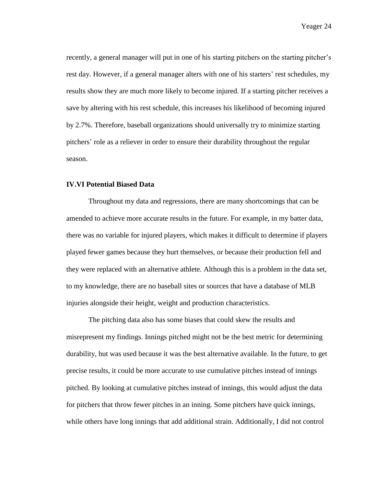recently, a general manager will put in one of his starting pitchers on the starting pitcher's rest day. However, if a general manager alters with one of his starters' rest schedules, my results show they are much more likely to become injured. If a starting pitcher receives a save by altering with his rest schedule, this increases his likelihood of becoming injured by 2.7%. Therefore, baseball organizations should universally try to minimize starting pitchers' role as a reliever in order to ensure their durability throughout the regular season.

#### **IV.VI Potential Biased Data**

Throughout my data and regressions, there are many shortcomings that can be amended to achieve more accurate results in the future. For example, in my batter data, there was no variable for injured players, which makes it difficult to determine if players played fewer games because they hurt themselves, or because their production fell and they were replaced with an alternative athlete. Although this is a problem in the data set, to my knowledge, there are no baseball sites or sources that have a database of MLB injuries alongside their height, weight and production characteristics.

The pitching data also has some biases that could skew the results and misrepresent my findings. Innings pitched might not be the best metric for determining durability, but was used because it was the best alternative available. In the future, to get precise results, it could be more accurate to use cumulative pitches instead of innings pitched. By looking at cumulative pitches instead of innings, this would adjust the data for pitchers that throw fewer pitches in an inning. Some pitchers have quick innings, while others have long innings that add additional strain. Additionally, I did not control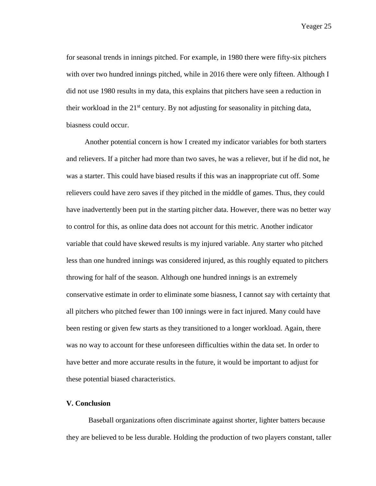for seasonal trends in innings pitched. For example, in 1980 there were fifty-six pitchers with over two hundred innings pitched, while in 2016 there were only fifteen. Although I did not use 1980 results in my data, this explains that pitchers have seen a reduction in their workload in the  $21<sup>st</sup>$  century. By not adjusting for seasonality in pitching data, biasness could occur.

 Another potential concern is how I created my indicator variables for both starters and relievers. If a pitcher had more than two saves, he was a reliever, but if he did not, he was a starter. This could have biased results if this was an inappropriate cut off. Some relievers could have zero saves if they pitched in the middle of games. Thus, they could have inadvertently been put in the starting pitcher data. However, there was no better way to control for this, as online data does not account for this metric. Another indicator variable that could have skewed results is my injured variable. Any starter who pitched less than one hundred innings was considered injured, as this roughly equated to pitchers throwing for half of the season. Although one hundred innings is an extremely conservative estimate in order to eliminate some biasness, I cannot say with certainty that all pitchers who pitched fewer than 100 innings were in fact injured. Many could have been resting or given few starts as they transitioned to a longer workload. Again, there was no way to account for these unforeseen difficulties within the data set. In order to have better and more accurate results in the future, it would be important to adjust for these potential biased characteristics.

#### <span id="page-27-0"></span>**V. Conclusion**

Baseball organizations often discriminate against shorter, lighter batters because they are believed to be less durable. Holding the production of two players constant, taller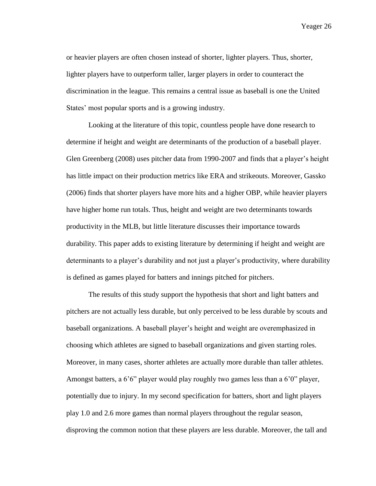or heavier players are often chosen instead of shorter, lighter players. Thus, shorter, lighter players have to outperform taller, larger players in order to counteract the discrimination in the league. This remains a central issue as baseball is one the United States' most popular sports and is a growing industry.

Looking at the literature of this topic, countless people have done research to determine if height and weight are determinants of the production of a baseball player. Glen Greenberg (2008) uses pitcher data from 1990-2007 and finds that a player's height has little impact on their production metrics like ERA and strikeouts. Moreover, Gassko (2006) finds that shorter players have more hits and a higher OBP, while heavier players have higher home run totals. Thus, height and weight are two determinants towards productivity in the MLB, but little literature discusses their importance towards durability. This paper adds to existing literature by determining if height and weight are determinants to a player's durability and not just a player's productivity, where durability is defined as games played for batters and innings pitched for pitchers.

The results of this study support the hypothesis that short and light batters and pitchers are not actually less durable, but only perceived to be less durable by scouts and baseball organizations. A baseball player's height and weight are overemphasized in choosing which athletes are signed to baseball organizations and given starting roles. Moreover, in many cases, shorter athletes are actually more durable than taller athletes. Amongst batters, a 6'6" player would play roughly two games less than a 6'0" player, potentially due to injury. In my second specification for batters, short and light players play 1.0 and 2.6 more games than normal players throughout the regular season, disproving the common notion that these players are less durable. Moreover, the tall and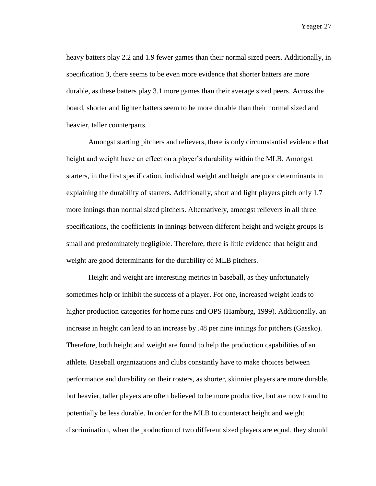heavy batters play 2.2 and 1.9 fewer games than their normal sized peers. Additionally, in specification 3, there seems to be even more evidence that shorter batters are more durable, as these batters play 3.1 more games than their average sized peers. Across the board, shorter and lighter batters seem to be more durable than their normal sized and heavier, taller counterparts.

Amongst starting pitchers and relievers, there is only circumstantial evidence that height and weight have an effect on a player's durability within the MLB. Amongst starters, in the first specification, individual weight and height are poor determinants in explaining the durability of starters. Additionally, short and light players pitch only 1.7 more innings than normal sized pitchers. Alternatively, amongst relievers in all three specifications, the coefficients in innings between different height and weight groups is small and predominately negligible. Therefore, there is little evidence that height and weight are good determinants for the durability of MLB pitchers.

Height and weight are interesting metrics in baseball, as they unfortunately sometimes help or inhibit the success of a player. For one, increased weight leads to higher production categories for home runs and OPS (Hamburg, 1999). Additionally, an increase in height can lead to an increase by .48 per nine innings for pitchers (Gassko). Therefore, both height and weight are found to help the production capabilities of an athlete. Baseball organizations and clubs constantly have to make choices between performance and durability on their rosters, as shorter, skinnier players are more durable, but heavier, taller players are often believed to be more productive, but are now found to potentially be less durable. In order for the MLB to counteract height and weight discrimination, when the production of two different sized players are equal, they should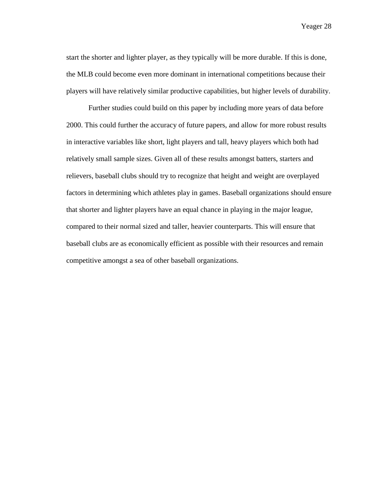start the shorter and lighter player, as they typically will be more durable. If this is done, the MLB could become even more dominant in international competitions because their players will have relatively similar productive capabilities, but higher levels of durability.

Further studies could build on this paper by including more years of data before 2000. This could further the accuracy of future papers, and allow for more robust results in interactive variables like short, light players and tall, heavy players which both had relatively small sample sizes. Given all of these results amongst batters, starters and relievers, baseball clubs should try to recognize that height and weight are overplayed factors in determining which athletes play in games. Baseball organizations should ensure that shorter and lighter players have an equal chance in playing in the major league, compared to their normal sized and taller, heavier counterparts. This will ensure that baseball clubs are as economically efficient as possible with their resources and remain competitive amongst a sea of other baseball organizations.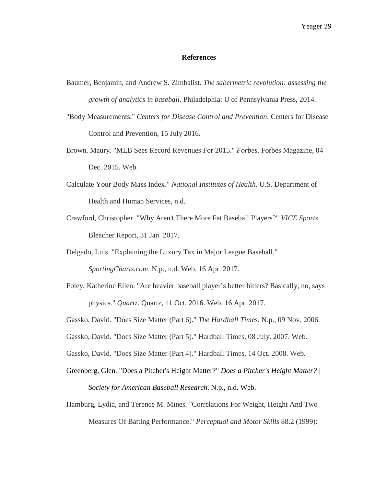#### **References**

- <span id="page-31-0"></span>Baumer, Benjamin, and Andrew S. Zimbalist. *The sabermetric revolution: assessing the growth of analytics in baseball*. Philadelphia: U of Pennsylvania Press, 2014.
- "Body Measurements." *Centers for Disease Control and Prevention*. Centers for Disease Control and Prevention, 15 July 2016.
- Brown, Maury. "MLB Sees Record Revenues For 2015." *Forbes*. Forbes Magazine, 04 Dec. 2015. Web.
- Calculate Your Body Mass Index." *National Institutes of Health*. U.S. Department of Health and Human Services, n.d.
- Crawford, Christopher. "Why Aren't There More Fat Baseball Players?" *VICE Sports*. Bleacher Report, 31 Jan. 2017.
- Delgado, Luis. "Explaining the Luxury Tax in Major League Baseball." *SportingCharts.com*. N.p., n.d. Web. 16 Apr. 2017.
- Foley, Katherine Ellen. "Are heavier baseball player's better hitters? Basically, no, says physics." *Quartz*. Quartz, 11 Oct. 2016. Web. 16 Apr. 2017.
- Gassko, David. "Does Size Matter (Part 6)." *The Hardball Times*. N.p., 09 Nov. 2006.
- Gassko, David. "Does Size Matter (Part 5)." Hardball Times, 08 July. 2007. Web.
- Gassko, David. "Does Size Matter (Part 4)." Hardball Times, 14 Oct. 2008. Web.
- Greenberg, Glen. "Does a Pitcher's Height Matter?" *Does a Pitcher's Height Matter? | Society for American Baseball Research*. N.p., n.d. Web.
- Hamburg, Lydia, and Terence M. Mines. "Correlations For Weight, Height And Two Measures Of Batting Performance." *Perceptual and Motor Skills* 88.2 (1999):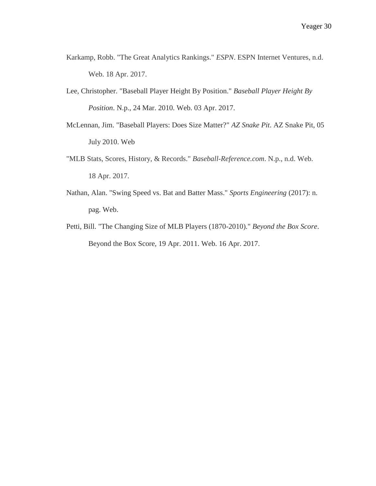- Karkamp, Robb. "The Great Analytics Rankings." *ESPN*. ESPN Internet Ventures, n.d. Web. 18 Apr. 2017.
- Lee, Christopher. "Baseball Player Height By Position." *Baseball Player Height By Position*. N.p., 24 Mar. 2010. Web. 03 Apr. 2017.
- McLennan, Jim. "Baseball Players: Does Size Matter?" *AZ Snake Pit*. AZ Snake Pit, 05 July 2010. Web
- "MLB Stats, Scores, History, & Records." *Baseball-Reference.com*. N.p., n.d. Web. 18 Apr. 2017.
- Nathan, Alan. "Swing Speed vs. Bat and Batter Mass." *Sports Engineering* (2017): n. pag. Web.
- Petti, Bill. "The Changing Size of MLB Players (1870-2010)." *Beyond the Box Score*. Beyond the Box Score, 19 Apr. 2011. Web. 16 Apr. 2017.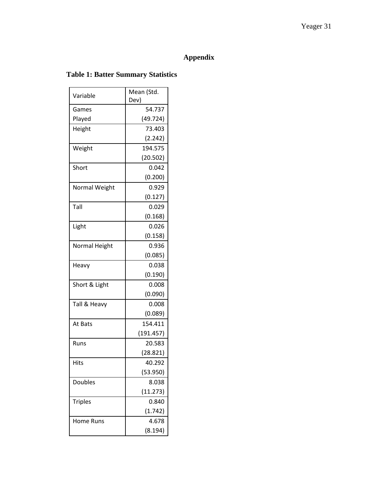## **Appendix**

## <span id="page-33-0"></span>**Table 1: Batter Summary Statistics**

|                | Mean (Std. |
|----------------|------------|
| Variable       | Dev)       |
| Games          | 54.737     |
| Played         | (49.724)   |
| Height         | 73.403     |
|                | (2.242)    |
| Weight         | 194.575    |
|                | (20.502)   |
| Short          | 0.042      |
|                | (0.200)    |
| Normal Weight  | 0.929      |
|                | (0.127)    |
| Tall           | 0.029      |
|                | (0.168)    |
| Light          | 0.026      |
|                | (0.158)    |
| Normal Height  | 0.936      |
|                | (0.085)    |
| Heavy          | 0.038      |
|                | (0.190)    |
| Short & Light  | 0.008      |
|                | (0.090)    |
| Tall & Heavy   | 0.008      |
|                | (0.089)    |
| At Bats        | 154.411    |
|                | (191.457)  |
| Runs           | 20.583     |
|                | (28.821)   |
| Hits           | 40.292     |
|                | (53.950)   |
| <b>Doubles</b> | 8.038      |
|                | (11.273)   |
| <b>Triples</b> | 0.840      |
|                | (1.742)    |
| Home Runs      | 4.678      |
|                | (8.194)    |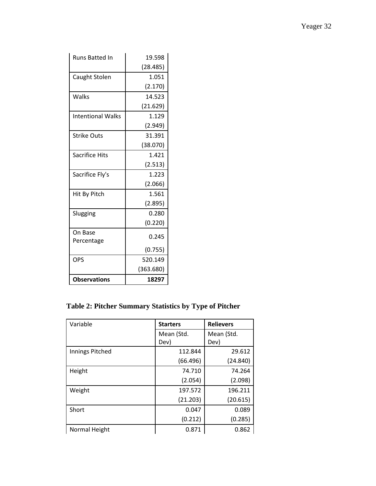| <b>Runs Batted In</b>    | 19.598    |
|--------------------------|-----------|
|                          | (28.485)  |
| Caught Stolen            | 1.051     |
|                          | (2.170)   |
| Walks                    | 14.523    |
|                          | (21.629)  |
| <b>Intentional Walks</b> | 1.129     |
|                          | (2.949)   |
| <b>Strike Outs</b>       | 31.391    |
|                          | (38.070)  |
| <b>Sacrifice Hits</b>    | 1.421     |
|                          | (2.513)   |
| Sacrifice Fly's          | 1.223     |
|                          | (2.066)   |
| Hit By Pitch             | 1.561     |
|                          | (2.895)   |
| Slugging                 | 0.280     |
|                          | (0.220)   |
| On Base                  | 0.245     |
| Percentage               |           |
|                          | (0.755)   |
| OPS                      | 520.149   |
|                          | (363.680) |
| <b>Observations</b>      | 18297     |

## **Table 2: Pitcher Summary Statistics by Type of Pitcher**

| Variable        | <b>Starters</b> | <b>Relievers</b> |
|-----------------|-----------------|------------------|
|                 | Mean (Std.      | Mean (Std.       |
|                 | Dev)            | Dev)             |
| Innings Pitched | 112.844         | 29.612           |
|                 | (66.496)        | (24.840)         |
| Height          | 74.710          | 74.264           |
|                 | (2.054)         | (2.098)          |
| Weight          | 197.572         | 196.211          |
|                 | (21.203)        | (20.615)         |
| Short           | 0.047           | 0.089            |
|                 | (0.212)         | (0.285)          |
| Normal Height   | 0.871           | 0.862            |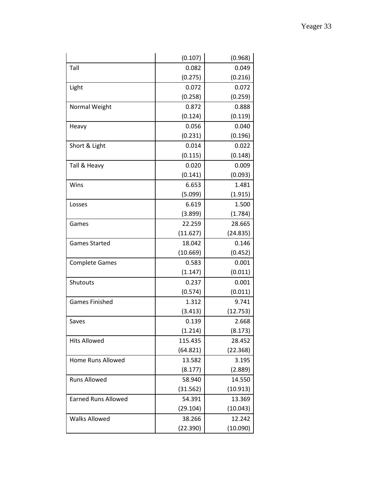|                            | (0.107)  | (0.968)  |
|----------------------------|----------|----------|
| Tall                       | 0.082    | 0.049    |
|                            | (0.275)  | (0.216)  |
| Light                      | 0.072    | 0.072    |
|                            | (0.258)  | (0.259)  |
| Normal Weight              | 0.872    | 0.888    |
|                            | (0.124)  | (0.119)  |
| Heavy                      | 0.056    | 0.040    |
|                            | (0.231)  | (0.196)  |
| Short & Light              | 0.014    | 0.022    |
|                            | (0.115)  | (0.148)  |
| Tall & Heavy               | 0.020    | 0.009    |
|                            | (0.141)  | (0.093)  |
| Wins                       | 6.653    | 1.481    |
|                            | (5.099)  | (1.915)  |
| Losses                     | 6.619    | 1.500    |
|                            | (3.899)  | (1.784)  |
| Games                      | 22.259   | 28.665   |
|                            | (11.627) | (24.835) |
| <b>Games Started</b>       | 18.042   | 0.146    |
|                            | (10.669) | (0.452)  |
| <b>Complete Games</b>      | 0.583    | 0.001    |
|                            | (1.147)  | (0.011)  |
| Shutouts                   | 0.237    | 0.001    |
|                            | (0.574)  | (0.011)  |
| <b>Games Finished</b>      | 1.312    | 9.741    |
|                            | (3.413)  | (12.753) |
| Saves                      | 0.139    | 2.668    |
|                            | (1.214)  | (8.173)  |
| <b>Hits Allowed</b>        | 115.435  | 28.452   |
|                            | (64.821) | (22.368) |
| <b>Home Runs Allowed</b>   | 13.582   | 3.195    |
|                            | (8.177)  | (2.889)  |
| <b>Runs Allowed</b>        | 58.940   | 14.550   |
|                            | (31.562) | (10.913) |
| <b>Earned Runs Allowed</b> | 54.391   | 13.369   |
|                            | (29.104) | (10.043) |
| <b>Walks Allowed</b>       | 38.266   | 12.242   |
|                            | (22.390) | (10.090) |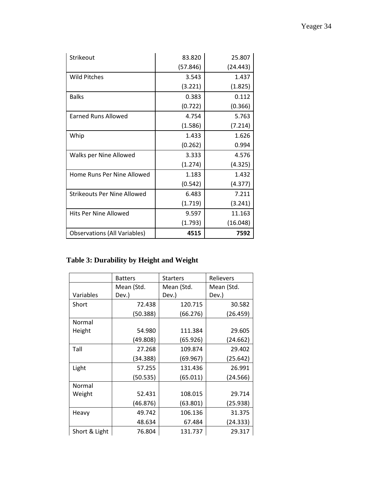| Strikeout                  | 83.820                    | 25.807                |
|----------------------------|---------------------------|-----------------------|
|                            | (57.846)                  | (24.443)              |
| Wild Pitches               | 3.543                     | 1.437                 |
|                            | (3.221)                   | (1.825)               |
| <b>Balks</b>               | 0.383                     | 0.112                 |
|                            | (0.722)                   | (0.366)               |
| <b>Earned Runs Allowed</b> | 4.754                     | 5.763                 |
|                            | $\mathbf{A}$ $\mathbf{B}$ | $\sqrt{2}$ $\sqrt{2}$ |

|                                     | (0.722) | (0.366)  |
|-------------------------------------|---------|----------|
| <b>Earned Runs Allowed</b>          | 4.754   | 5.763    |
|                                     | (1.586) | (7.214)  |
| Whip                                | 1.433   | 1.626    |
|                                     | (0.262) | 0.994    |
| Walks per Nine Allowed              | 3.333   | 4.576    |
|                                     | (1.274) | (4.325)  |
| Home Runs Per Nine Allowed          | 1.183   | 1.432    |
|                                     | (0.542) | (4.377)  |
| Strikeouts Per Nine Allowed         | 6.483   | 7.211    |
|                                     | (1.719) | (3.241)  |
| Hits Per Nine Allowed               | 9.597   | 11.163   |
|                                     | (1.793) | (16.048) |
| <b>Observations (All Variables)</b> | 4515    | 7592     |

## **Table 3: Durability by Height and Weight**

Strikeout

Wild Pitches

|               | <b>Batters</b>           | <b>Starters</b> | Relievers  |  |
|---------------|--------------------------|-----------------|------------|--|
|               | Mean (Std.<br>Mean (Std. |                 | Mean (Std. |  |
| Variables     | Dev.)                    | Dev.)           | Dev.)      |  |
| Short         | 72.438                   | 120.715         | 30.582     |  |
|               | (50.388)                 | (66.276)        | (26.459)   |  |
| Normal        |                          |                 |            |  |
| Height        | 54.980                   | 111.384         | 29.605     |  |
|               | (49.808)                 | (65.926)        | (24.662)   |  |
| Tall          | 27.268                   | 109.874         | 29.402     |  |
|               | (34.388)                 | (69.967)        | (25.642)   |  |
| Light         | 57.255                   | 131.436         | 26.991     |  |
|               | (50.535)                 | (65.011)        | (24.566)   |  |
| Normal        |                          |                 |            |  |
| Weight        | 52.431                   | 108.015         | 29.714     |  |
|               | (46.876)                 | (63.801)        | (25.938)   |  |
| Heavy         | 49.742                   | 106.136         | 31.375     |  |
|               | 48.634                   | 67.484          | (24.333)   |  |
| Short & Light | 76.804                   | 131.737         | 29.317     |  |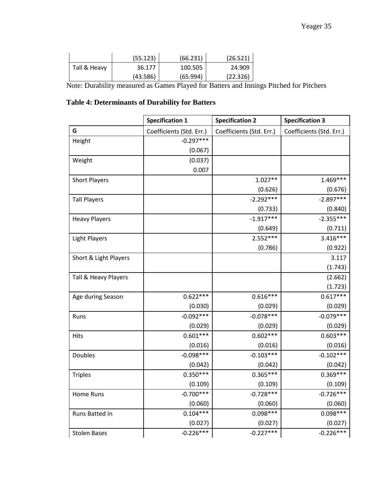|              | (55.123) | (66.231) | (26.521) |
|--------------|----------|----------|----------|
| Tall & Heavy | 36.177   | 100.505  | 24.909   |
|              | (43.586) | (65.994) | (22.326) |
| - - - -      |          | - -      |          |

Note: Durability measured as Games Played for Batters and Innings Pitched for Pitchers

## **Table 4: Determinants of Durability for Batters**

|                       | <b>Specification 1</b>   | <b>Specification 2</b>   | <b>Specification 3</b>   |
|-----------------------|--------------------------|--------------------------|--------------------------|
| G                     | Coefficients (Std. Err.) | Coefficients (Std. Err.) | Coefficients (Std. Err.) |
| Height                | $-0.297***$              |                          |                          |
|                       | (0.067)                  |                          |                          |
| Weight                | (0.037)                  |                          |                          |
|                       | 0.007                    |                          |                          |
| <b>Short Players</b>  |                          | $1.027**$                | 1.469***                 |
|                       |                          | (0.626)                  | (0.676)                  |
| <b>Tall Players</b>   |                          | $-2.292***$              | $-2.897***$              |
|                       |                          | (0.733)                  | (0.840)                  |
| <b>Heavy Players</b>  |                          | $-1.917***$              | $-2.355***$              |
|                       |                          | (0.649)                  | (0.711)                  |
| <b>Light Players</b>  |                          | $2.552***$               | $3.416***$               |
|                       |                          | (0.786)                  | (0.922)                  |
| Short & Light Players |                          |                          | 3.117                    |
|                       |                          |                          | (1.743)                  |
| Tall & Heavy Players  |                          |                          | (2.662)                  |
|                       |                          |                          | (1.723)                  |
| Age during Season     | $0.622***$               | $0.616***$               | $0.617***$               |
|                       | (0.030)                  | (0.029)                  | (0.029)                  |
| Runs                  | $-0.092***$              | $-0.078***$              | $-0.079***$              |
|                       | (0.029)                  | (0.029)                  | (0.029)                  |
| <b>Hits</b>           | $0.601***$               | $0.602***$               | $0.603***$               |
|                       | (0.016)                  | (0.016)                  | (0.016)                  |
| Doubles               | $-0.098***$              | $-0.103***$              | $-0.102***$              |
|                       | (0.042)                  | (0.042)                  | (0.042)                  |
| <b>Triples</b>        | $0.350***$               | $0.365***$               | $0.369***$               |
|                       | (0.109)                  | (0.109)                  | (0.109)                  |
| Home Runs             | $-0.700***$              | $-0.728***$              | $-0.726***$              |
|                       | (0.060)                  | (0.060)                  | (0.060)                  |
| Runs Batted In        | $0.104***$               | $0.098***$               | $0.098***$               |
|                       | (0.027)                  | (0.027)                  | (0.027)                  |
| <b>Stolen Bases</b>   | $-0.226***$              | $-0.227***$              | $-0.226***$              |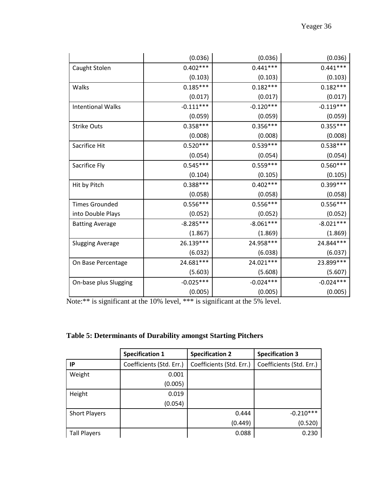|                          | (0.036)     | (0.036)     | (0.036)     |
|--------------------------|-------------|-------------|-------------|
| Caught Stolen            | $0.402***$  | $0.441***$  | $0.441***$  |
|                          | (0.103)     | (0.103)     | (0.103)     |
| Walks                    | $0.185***$  | $0.182***$  | $0.182***$  |
|                          | (0.017)     | (0.017)     | (0.017)     |
| <b>Intentional Walks</b> | $-0.111***$ | $-0.120***$ | $-0.119***$ |
|                          | (0.059)     | (0.059)     | (0.059)     |
| <b>Strike Outs</b>       | $0.358***$  | $0.356***$  | $0.355***$  |
|                          | (0.008)     | (0.008)     | (0.008)     |
| Sacrifice Hit            | $0.520***$  | $0.539***$  | $0.538***$  |
|                          | (0.054)     | (0.054)     | (0.054)     |
| Sacrifice Fly            | $0.545***$  | $0.559***$  | $0.560***$  |
|                          | (0.104)     | (0.105)     | (0.105)     |
| Hit by Pitch             | $0.388***$  | $0.402***$  | 0.399***    |
|                          | (0.058)     | (0.058)     | (0.058)     |
| <b>Times Grounded</b>    | $0.556***$  | $0.556***$  | $0.556***$  |
| into Double Plays        | (0.052)     | (0.052)     | (0.052)     |
| <b>Batting Average</b>   | $-8.285***$ | $-8.061***$ | $-8.021***$ |
|                          | (1.867)     | (1.869)     | (1.869)     |
| <b>Slugging Average</b>  | 26.139***   | 24.958***   | 24.844***   |
|                          | (6.032)     | (6.038)     | (6.037)     |
| On Base Percentage       | 24.681 ***  | 24.021 ***  | 23.899***   |
|                          | (5.603)     | (5.608)     | (5.607)     |
| On-base plus Slugging    | $-0.025***$ | $-0.024***$ | $-0.024***$ |
|                          | (0.005)     | (0.005)     | (0.005)     |

Note:\*\* is significant at the 10% level, \*\*\* is significant at the 5% level.

|  | <b>Table 5: Determinants of Durability amongst Starting Pitchers</b> |  |  |
|--|----------------------------------------------------------------------|--|--|
|  |                                                                      |  |  |

|                      | <b>Specification 1</b>   | <b>Specification 2</b>   | <b>Specification 3</b>   |
|----------------------|--------------------------|--------------------------|--------------------------|
| IP                   | Coefficients (Std. Err.) | Coefficients (Std. Err.) | Coefficients (Std. Err.) |
| Weight               | 0.001                    |                          |                          |
|                      | (0.005)                  |                          |                          |
| Height               | 0.019                    |                          |                          |
|                      | (0.054)                  |                          |                          |
| <b>Short Players</b> |                          | 0.444                    | $-0.210***$              |
|                      |                          | (0.449)                  | (0.520)                  |
| <b>Tall Players</b>  |                          | 0.088                    | 0.230                    |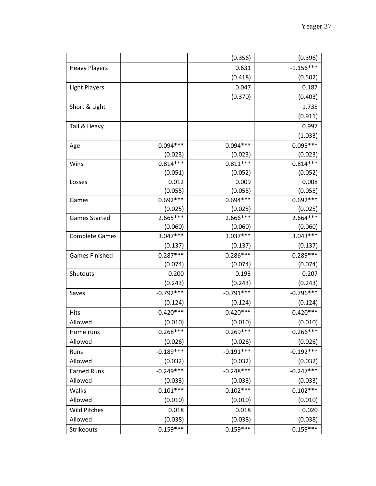|                       |             | (0.356)     | (0.396)     |
|-----------------------|-------------|-------------|-------------|
| <b>Heavy Players</b>  |             | 0.631       | $-1.156***$ |
|                       |             | (0.418)     | (0.502)     |
| <b>Light Players</b>  |             | 0.047       | 0.187       |
|                       |             | (0.370)     | (0.403)     |
| Short & Light         |             |             | 1.735       |
|                       |             |             | (0.911)     |
| Tall & Heavy          |             |             | 0.997       |
|                       |             |             | (1.033)     |
| Age                   | $0.094***$  | $0.094***$  | $0.095***$  |
|                       | (0.023)     | (0.023)     | (0.023)     |
| Wins                  | $0.814***$  | $0.811***$  | $0.814***$  |
|                       | (0.051)     | (0.052)     | (0.052)     |
| Losses                | 0.012       | 0.009       | 0.008       |
|                       | (0.055)     | (0.055)     | (0.055)     |
| Games                 | $0.692***$  | $0.694***$  | $0.692***$  |
|                       | (0.025)     | (0.025)     | (0.025)     |
| <b>Games Started</b>  | 2.665***    | 2.666***    | $2.664***$  |
|                       | (0.060)     | (0.060)     | (0.060)     |
| <b>Complete Games</b> | $3.047***$  | $3.037***$  | $3.043***$  |
|                       | (0.137)     | (0.137)     | (0.137)     |
| <b>Games Finished</b> | $0.287***$  | $0.286***$  | $0.289***$  |
|                       | (0.074)     | (0.074)     | (0.074)     |
| Shutouts              | 0.200       | 0.193       | 0.207       |
|                       | (0.243)     | (0.243)     | (0.243)     |
| Saves                 | $-0.792***$ | $-0.791***$ | $-0.796***$ |
|                       | (0.124)     | (0.124)     | (0.124)     |
| <b>Hits</b>           | $0.420***$  | $0.420***$  | $0.420***$  |
| Allowed               | (0.010)     | (0.010)     | (0.010)     |
| Home runs             | $0.268***$  | $0.269***$  | $0.266***$  |
| Allowed               | (0.026)     | (0.026)     | (0.026)     |
| Runs                  | $-0.189***$ | $-0.191***$ | $-0.192***$ |
| Allowed               | (0.032)     | (0.032)     | (0.032)     |
| <b>Earned Runs</b>    | $-0.249***$ | $-0.248***$ | $-0.247***$ |
| Allowed               | (0.033)     | (0.033)     | (0.033)     |
| Walks                 | $0.101***$  | $0.102***$  | $0.102***$  |
| Allowed               | (0.010)     | (0.010)     | (0.010)     |
| <b>Wild Pitches</b>   | 0.018       | 0.018       | 0.020       |
| Allowed               | (0.038)     | (0.038)     | (0.038)     |
| Strikeouts            | $0.159***$  | $0.159***$  | $0.159***$  |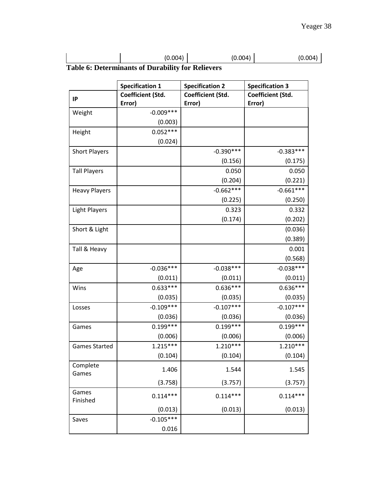| Toble 6. Determinants of Drugh!!!! for Deligrams |         |         |         |
|--------------------------------------------------|---------|---------|---------|
|                                                  | (0.004) | (0.004) | (0.004) |

**Table 6: Determinants of Durability for Relievers** 

|                      | <b>Specification 1</b> | <b>Specification 2</b> | <b>Specification 3</b> |
|----------------------|------------------------|------------------------|------------------------|
| IP                   | Coefficient (Std.      | Coefficient (Std.      | Coefficient (Std.      |
|                      | Error)                 | Error)                 | Error)                 |
| Weight               | $-0.009***$            |                        |                        |
|                      | (0.003)                |                        |                        |
| Height               | $0.052***$             |                        |                        |
|                      | (0.024)                |                        |                        |
| <b>Short Players</b> |                        | $-0.390***$            | $-0.383***$            |
|                      |                        | (0.156)                | (0.175)                |
| <b>Tall Players</b>  |                        | 0.050                  | 0.050                  |
|                      |                        | (0.204)                | (0.221)                |
| <b>Heavy Players</b> |                        | $-0.662***$            | $-0.661***$            |
|                      |                        | (0.225)                | (0.250)                |
| <b>Light Players</b> |                        | 0.323                  | 0.332                  |
|                      |                        | (0.174)                | (0.202)                |
| Short & Light        |                        |                        | (0.036)                |
|                      |                        |                        | (0.389)                |
| Tall & Heavy         |                        |                        | 0.001                  |
|                      |                        |                        | (0.568)                |
| Age                  | $-0.036***$            | $-0.038***$            | $-0.038***$            |
|                      | (0.011)                | (0.011)                | (0.011)                |
| Wins                 | $0.633***$             | $0.636***$             | $0.636***$             |
|                      | (0.035)                | (0.035)                | (0.035)                |
| Losses               | $-0.109***$            | $-0.107***$            | $-0.107***$            |
|                      | (0.036)                | (0.036)                | (0.036)                |
| Games                | $0.199***$             | $0.199***$             | $0.199***$             |
|                      | (0.006)                | (0.006)                | (0.006)                |
| <b>Games Started</b> | $1.215***$             | $1.210***$             | $1.210***$             |
|                      | (0.104)                | (0.104)                | (0.104)                |
| Complete             | 1.406                  | 1.544                  | 1.545                  |
| Games                |                        |                        |                        |
|                      | (3.758)                | (3.757)                | (3.757)                |
| Games                | $0.114***$             | $0.114***$             | $0.114***$             |
| Finished             |                        |                        |                        |
|                      | (0.013)                | (0.013)                | (0.013)                |
| Saves                | $-0.105***$            |                        |                        |
|                      | 0.016                  |                        |                        |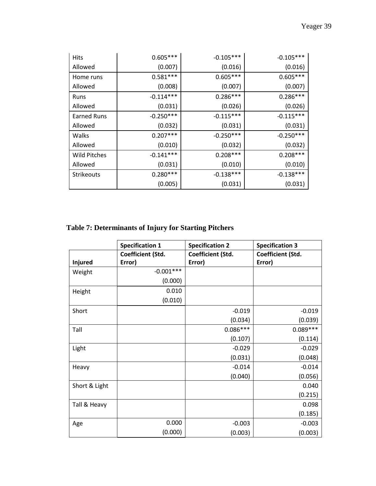| Hits                | $0.605***$  | $-0.105***$ | $-0.105***$ |
|---------------------|-------------|-------------|-------------|
| Allowed             | (0.007)     | (0.016)     | (0.016)     |
| Home runs           | $0.581***$  | $0.605***$  | $0.605***$  |
| Allowed             | (0.008)     | (0.007)     | (0.007)     |
| Runs                | $-0.114***$ | $0.286***$  | $0.286***$  |
| Allowed             | (0.031)     | (0.026)     | (0.026)     |
| <b>Earned Runs</b>  | $-0.250***$ | $-0.115***$ | $-0.115***$ |
| Allowed             | (0.032)     | (0.031)     | (0.031)     |
| Walks               | $0.207***$  | $-0.250***$ | $-0.250***$ |
| Allowed             | (0.010)     | (0.032)     | (0.032)     |
| <b>Wild Pitches</b> | $-0.141***$ | $0.208***$  | $0.208***$  |
| Allowed             | (0.031)     | (0.010)     | (0.010)     |
| <b>Strikeouts</b>   | $0.280***$  | $-0.138***$ | $-0.138***$ |
|                     | (0.005)     | (0.031)     | (0.031)     |

## **Table 7: Determinants of Injury for Starting Pitchers**

|               | <b>Specification 1</b> | <b>Specification 2</b> | <b>Specification 3</b> |
|---------------|------------------------|------------------------|------------------------|
|               | Coefficient (Std.      | Coefficient (Std.      | Coefficient (Std.      |
| Injured       | Error)                 | Error)                 | Error)                 |
| Weight        | $-0.001***$            |                        |                        |
|               | (0.000)                |                        |                        |
| Height        | 0.010                  |                        |                        |
|               | (0.010)                |                        |                        |
| Short         |                        | $-0.019$               | $-0.019$               |
|               |                        | (0.034)                | (0.039)                |
| Tall          |                        | $0.086***$             | $0.089***$             |
|               |                        | (0.107)                | (0.114)                |
| Light         |                        | $-0.029$               | $-0.029$               |
|               |                        | (0.031)                | (0.048)                |
| Heavy         |                        | $-0.014$               | $-0.014$               |
|               |                        | (0.040)                | (0.056)                |
| Short & Light |                        |                        | 0.040                  |
|               |                        |                        | (0.215)                |
| Tall & Heavy  |                        |                        | 0.098                  |
|               |                        |                        | (0.185)                |
| Age           | 0.000                  | $-0.003$               | $-0.003$               |
|               | (0.000)                | (0.003)                | (0.003)                |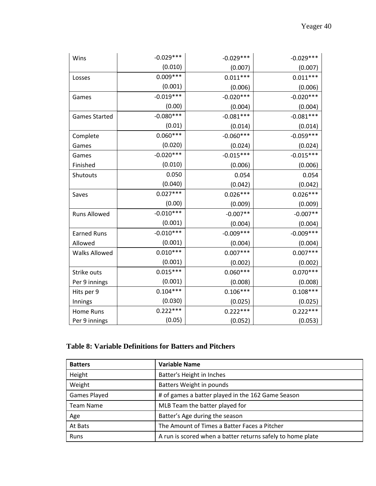| Wins                 | $-0.029***$ | $-0.029***$ | $-0.029***$ |
|----------------------|-------------|-------------|-------------|
|                      | (0.010)     | (0.007)     | (0.007)     |
| Losses               | $0.009***$  | $0.011***$  | $0.011***$  |
|                      | (0.001)     | (0.006)     | (0.006)     |
| Games                | $-0.019***$ | $-0.020***$ | $-0.020***$ |
|                      | (0.00)      | (0.004)     | (0.004)     |
| <b>Games Started</b> | $-0.080***$ | $-0.081***$ | $-0.081***$ |
|                      | (0.01)      | (0.014)     | (0.014)     |
| Complete             | $0.060***$  | $-0.060***$ | $-0.059***$ |
| Games                | (0.020)     | (0.024)     | (0.024)     |
| Games                | $-0.020***$ | $-0.015***$ | $-0.015***$ |
| Finished             | (0.010)     | (0.006)     | (0.006)     |
| Shutouts             | 0.050       | 0.054       | 0.054       |
|                      | (0.040)     | (0.042)     | (0.042)     |
| Saves                | $0.027***$  | $0.026***$  | $0.026***$  |
|                      | (0.00)      | (0.009)     | (0.009)     |
| <b>Runs Allowed</b>  | $-0.010***$ | $-0.007**$  | $-0.007**$  |
|                      | (0.001)     | (0.004)     | (0.004)     |
| <b>Earned Runs</b>   | $-0.010***$ | $-0.009***$ | $-0.009***$ |
| Allowed              | (0.001)     | (0.004)     | (0.004)     |
| <b>Walks Allowed</b> | $0.010***$  | $0.007***$  | $0.007***$  |
|                      | (0.001)     | (0.002)     | (0.002)     |
| Strike outs          | $0.015***$  | $0.060***$  | $0.070***$  |
| Per 9 innings        | (0.001)     | (0.008)     | (0.008)     |
| Hits per 9           | $0.104***$  | $0.106***$  | $0.108***$  |
| Innings              | (0.030)     | (0.025)     | (0.025)     |
| Home Runs            | $0.222***$  | $0.222***$  | $0.222***$  |
| Per 9 innings        | (0.05)      | (0.052)     | (0.053)     |

## **Table 8: Variable Definitions for Batters and Pitchers**

| <b>Batters</b>      | <b>Variable Name</b>                                       |
|---------------------|------------------------------------------------------------|
| Height              | Batter's Height in Inches                                  |
| Weight              | Batters Weight in pounds                                   |
| <b>Games Played</b> | # of games a batter played in the 162 Game Season          |
| <b>Team Name</b>    | MLB Team the batter played for                             |
| Age                 | Batter's Age during the season                             |
| At Bats             | The Amount of Times a Batter Faces a Pitcher               |
| Runs                | A run is scored when a batter returns safely to home plate |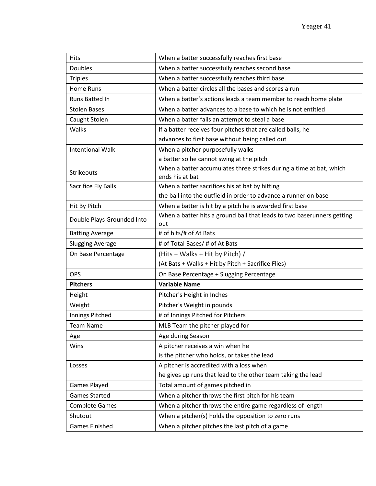| <b>Hits</b>                | When a batter successfully reaches first base                                          |
|----------------------------|----------------------------------------------------------------------------------------|
| <b>Doubles</b>             | When a batter successfully reaches second base                                         |
| <b>Triples</b>             | When a batter successfully reaches third base                                          |
| Home Runs                  | When a batter circles all the bases and scores a run                                   |
| Runs Batted In             | When a batter's actions leads a team member to reach home plate                        |
| <b>Stolen Bases</b>        | When a batter advances to a base to which he is not entitled                           |
| Caught Stolen              | When a batter fails an attempt to steal a base                                         |
| Walks                      | If a batter receives four pitches that are called balls, he                            |
|                            | advances to first base without being called out                                        |
| <b>Intentional Walk</b>    | When a pitcher purposefully walks                                                      |
|                            | a batter so he cannot swing at the pitch                                               |
| Strikeouts                 | When a batter accumulates three strikes during a time at bat, which<br>ends his at bat |
| Sacrifice Fly Balls        | When a batter sacrifices his at bat by hitting                                         |
|                            | the ball into the outfield in order to advance a runner on base                        |
| Hit By Pitch               | When a batter is hit by a pitch he is awarded first base                               |
| Double Plays Grounded Into | When a batter hits a ground ball that leads to two baserunners getting<br>out          |
| <b>Batting Average</b>     | # of hits/# of At Bats                                                                 |
| <b>Slugging Average</b>    | # of Total Bases/ # of At Bats                                                         |
| On Base Percentage         | (Hits + Walks + Hit by Pitch) /                                                        |
|                            | (At Bats + Walks + Hit by Pitch + Sacrifice Flies)                                     |
| <b>OPS</b>                 | On Base Percentage + Slugging Percentage                                               |
| <b>Pitchers</b>            | <b>Variable Name</b>                                                                   |
| Height                     | Pitcher's Height in Inches                                                             |
| Weight                     | Pitcher's Weight in pounds                                                             |
| Innings Pitched            | # of Innings Pitched for Pitchers                                                      |
| <b>Team Name</b>           | MLB Team the pitcher played for                                                        |
| Age                        | Age during Season                                                                      |
| Wins                       | A pitcher receives a win when he                                                       |
|                            | is the pitcher who holds, or takes the lead                                            |
| Losses                     | A pitcher is accredited with a loss when                                               |
|                            | he gives up runs that lead to the other team taking the lead                           |
| <b>Games Played</b>        | Total amount of games pitched in                                                       |
| <b>Games Started</b>       | When a pitcher throws the first pitch for his team                                     |
| <b>Complete Games</b>      | When a pitcher throws the entire game regardless of length                             |
| Shutout                    | When a pitcher(s) holds the opposition to zero runs                                    |
| <b>Games Finished</b>      | When a pitcher pitches the last pitch of a game                                        |